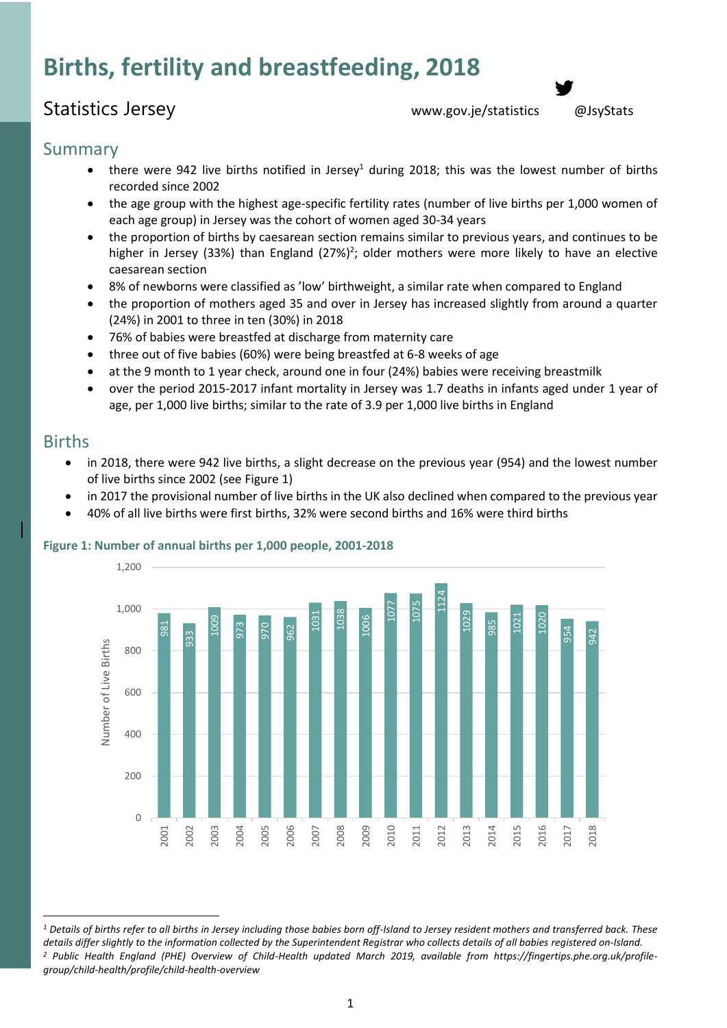# **Births, fertility and breastfeeding, 2018**

# Statistics Jersey [www.gov.je/statistics](http://www.gov.je/statistics) [@JsyStats](http://www.twitter.com/JsyStats)

### Summary

- there were 942 live births notified in Jersey<sup>1</sup> during 2018; this was the lowest number of births recorded since 2002
- the age group with the highest age-specific fertility rates (number of live births per 1,000 women of each age group) in Jersey was the cohort of women aged 30-34 years
- the proportion of births by caesarean section remains similar to previous years, and continues to be higher in Jersey (33%) than England (27%)<sup>2</sup>; older mothers were more likely to have an elective caesarean section
- 8% of newborns were classified as 'low' birthweight, a similar rate when compared to England
- the proportion of mothers aged 35 and over in Jersey has increased slightly from around a quarter (24%) in 2001 to three in ten (30%) in 2018
- 76% of babies were breastfed at discharge from maternity care
- three out of five babies (60%) were being breastfed at 6-8 weeks of age
- at the 9 month to 1 year check, around one in four (24%) babies were receiving breastmilk
- over the period 2015-2017 infant mortality in Jersey was 1.7 deaths in infants aged under 1 year of age, per 1,000 live births; similar to the rate of 3.9 per 1,000 live births in England

### Births

- in 2018, there were 942 live births, a slight decrease on the previous year (954) and the lowest number of live births since 2002 (see Figure 1)
- in 2017 the provisional number of live births in the UK also declined when compared to the previous year
- 40% of all live births were first births, 32% were second births and 16% were third births



#### **Figure 1: Number of annual births per 1,000 people, 2001-2018**

 $\overline{\phantom{a}}$ *<sup>1</sup> Details of births refer to all births in Jersey including those babies born off-Island to Jersey resident mothers and transferred back. These details differ slightly to the information collected by the Superintendent Registrar who collects details of all babies registered on-Island. <sup>2</sup> Public Health England (PHE) Overview of Child-Health updated March 2019, available from https://fingertips.phe.org.uk/profile-*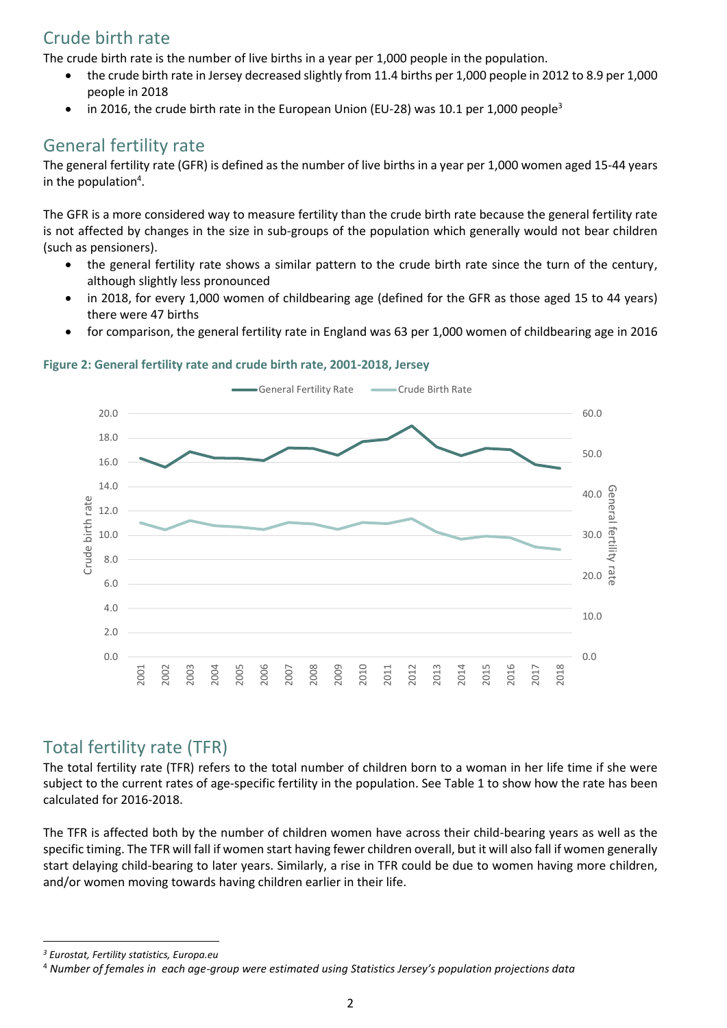# Crude birth rate

The crude birth rate is the number of live births in a year per 1,000 people in the population.

- the crude birth rate in Jersey decreased slightly from 11.4 births per 1,000 people in 2012 to 8.9 per 1,000 people in 2018
- in 2016, the [crude birth rate](https://ec.europa.eu/eurostat/statistics-explained/index.php?title=Glossary:Birth) in the European Union (EU-28) was 10.1 per 1,000 people<sup>3</sup>

# General fertility rate

The general fertility rate (GFR) is defined as the number of live births in a year per 1,000 women aged 15-44 years in the population<sup>4</sup>.

The GFR is a more considered way to measure fertility than the crude birth rate because the general fertility rate is not affected by changes in the size in sub-groups of the population which generally would not bear children (such as pensioners).

- the general fertility rate shows a similar pattern to the crude birth rate since the turn of the century, although slightly less pronounced
- in 2018, for every 1,000 women of childbearing age (defined for the GFR as those aged 15 to 44 years) there were 47 births
- for comparison, the general fertility rate in England was 63 per 1,000 women of childbearing age in 2016

#### **Figure 2: General fertility rate and crude birth rate, 2001-2018, Jersey**



### Total fertility rate (TFR)

The total fertility rate (TFR) refers to the total number of children born to a woman in her life time if she were subject to the current rates of age-specific fertility in the population. See Table 1 to show how the rate has been calculated for 2016-2018.

The TFR is affected both by the number of children women have across their child-bearing years as well as the specific timing. The TFR will fall if women start having fewer children overall, but it will also fall if women generally start delaying child-bearing to later years. Similarly, a rise in TFR could be due to women having more children, and/or women moving towards having children earlier in their life.

 $\overline{a}$ 

*<sup>3</sup> Eurostat, Fertility statistics, Europa.eu*

<sup>4</sup> *Number of females in each age-group were estimated using Statistics Jersey's population projections data*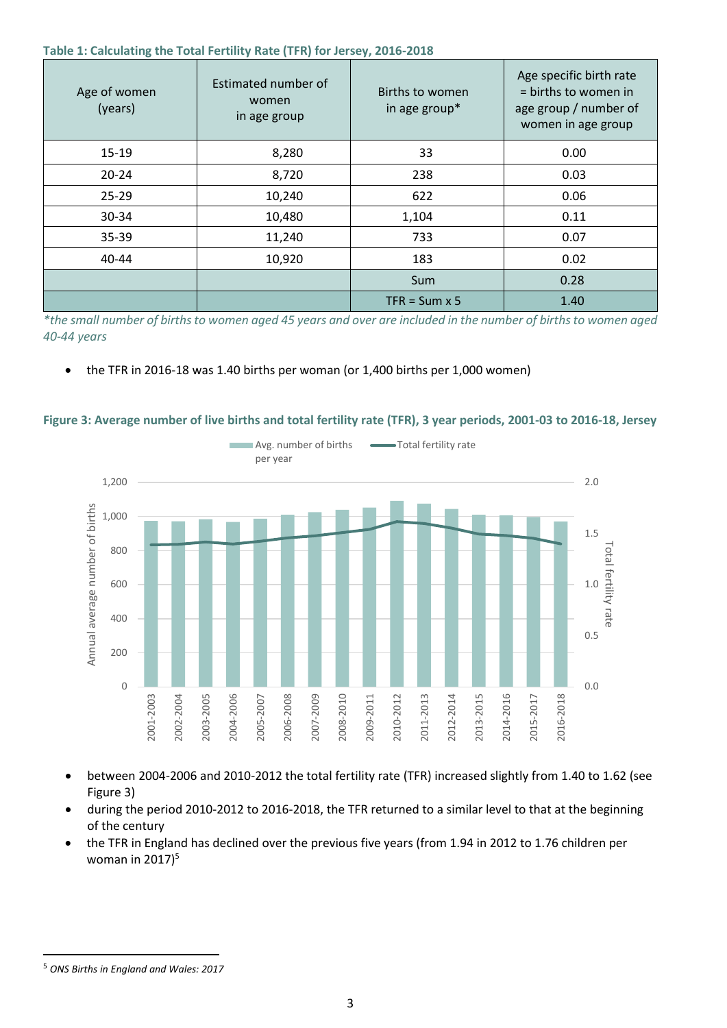#### **Table 1: Calculating the Total Fertility Rate (TFR) for Jersey, 2016-2018**

| Age of women<br>(years) | Estimated number of<br>women<br>in age group | Births to women<br>in age group* | Age specific birth rate<br>= births to women in<br>age group / number of<br>women in age group |
|-------------------------|----------------------------------------------|----------------------------------|------------------------------------------------------------------------------------------------|
| $15 - 19$               | 8,280                                        | 33                               | 0.00                                                                                           |
| $20 - 24$               | 8,720                                        | 238                              | 0.03                                                                                           |
| $25 - 29$               | 10,240                                       | 622                              | 0.06                                                                                           |
| 30-34                   | 10,480                                       | 1,104                            | 0.11                                                                                           |
| 35-39                   | 11,240                                       | 733                              | 0.07                                                                                           |
| $40 - 44$               | 10,920                                       | 183                              | 0.02                                                                                           |
|                         |                                              | Sum                              | 0.28                                                                                           |
|                         |                                              | $TFR = Sum \times 5$             | 1.40                                                                                           |

*\*the small number of births to women aged 45 years and over are included in the number of births to women aged 40-44 years*

#### the TFR in 2016-18 was 1.40 births per woman (or 1,400 births per 1,000 women)



#### **Figure 3: Average number of live births and total fertility rate (TFR), 3 year periods, 2001-03 to 2016-18, Jersey**

- between 2004-2006 and 2010-2012 the total fertility rate (TFR) increased slightly from 1.40 to 1.62 (see Figure 3)
- during the period 2010-2012 to 2016-2018, the TFR returned to a similar level to that at the beginning of the century
- the TFR in England has declined over the previous five years (from 1.94 in 2012 to 1.76 children per woman in  $2017$ <sup>5</sup>

 $\overline{\phantom{a}}$ 

<sup>5</sup> *ONS Births in England and Wales: 2017*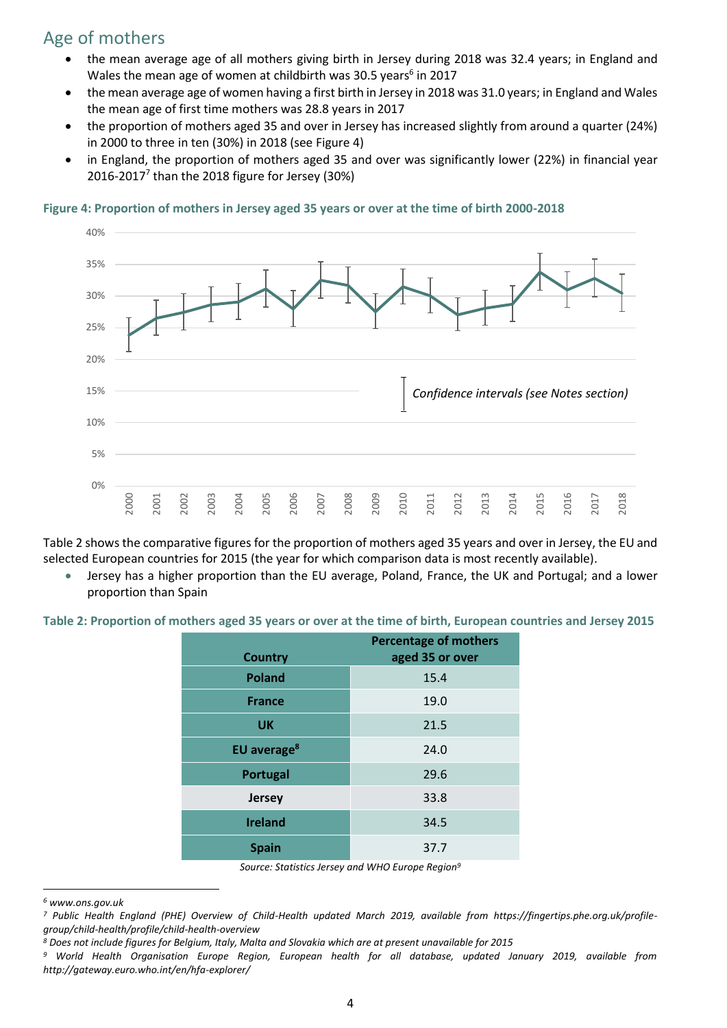# Age of mothers

- the mean average age of all mothers giving birth in Jersey during 2018 was 32.4 years; in England and Wales the mean age of women at childbirth was 30.5 years<sup>6</sup> in 2017
- the mean average age of women having a first birth in Jersey in 2018 was 31.0 years; in England and Wales the mean age of first time mothers was 28.8 years in 2017
- the proportion of mothers aged 35 and over in Jersey has increased slightly from around a quarter (24%) in 2000 to three in ten (30%) in 2018 (see Figure 4)
- in England, the proportion of mothers aged 35 and over was significantly lower (22%) in financial year 2016-2017 $^7$  than the 2018 figure for Jersey (30%)

#### **Figure 4: Proportion of mothers in Jersey aged 35 years or over at the time of birth 2000-2018**



Table 2 shows the comparative figures for the proportion of mothers aged 35 years and over in Jersey, the EU and selected European countries for 2015 (the year for which comparison data is most recently available).

 Jersey has a higher proportion than the EU average, Poland, France, the UK and Portugal; and a lower proportion than Spain

**Table 2: Proportion of mothers aged 35 years or over at the time of birth, European countries and Jersey 2015**

| <b>Country</b>          | <b>Percentage of mothers</b><br>aged 35 or over |
|-------------------------|-------------------------------------------------|
| <b>Poland</b>           | 15.4                                            |
| <b>France</b>           | 19.0                                            |
| <b>UK</b>               | 21.5                                            |
| EU average <sup>8</sup> | 24.0                                            |
| Portugal                | 29.6                                            |
| Jersey                  | 33.8                                            |
| <b>Ireland</b>          | 34.5                                            |
| <b>Spain</b>            | 37.7                                            |

*Source: Statistics Jersey and WHO Europe Region<sup>9</sup>*

 $\overline{a}$ 

*<sup>6</sup> www.ons.gov.uk*

*<sup>7</sup> Public Health England (PHE) Overview of Child-Health updated March 2019, available from https://fingertips.phe.org.uk/profilegroup/child-health/profile/child-health-overview*

*<sup>8</sup> Does not include figures for Belgium, Italy, Malta and Slovakia which are at present unavailable for 2015*

*<sup>9</sup> World Health Organisation Europe Region, European health for all database, updated January 2019, available from http://gateway.euro.who.int/en/hfa-explorer/*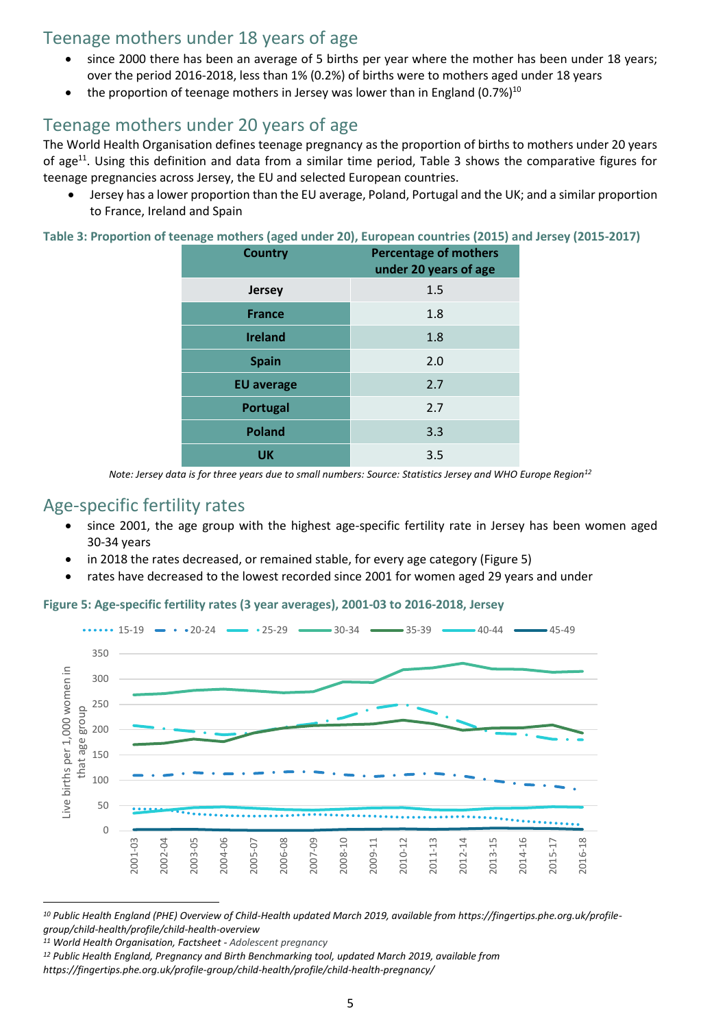### Teenage mothers under 18 years of age

- since 2000 there has been an average of 5 births per year where the mother has been under 18 years; over the period 2016-2018, less than 1% (0.2%) of births were to mothers aged under 18 years
- the proportion of teenage mothers in Jersey was lower than in England (0.7%) $^{10}$

### Teenage mothers under 20 years of age

The World Health Organisation defines teenage pregnancy as the proportion of births to mothers under 20 years of age<sup>11</sup>. Using this definition and data from a similar time period, Table 3 shows the comparative figures for teenage pregnancies across Jersey, the EU and selected European countries.

 Jersey has a lower proportion than the EU average, Poland, Portugal and the UK; and a similar proportion to France, Ireland and Spain

**Table 3: Proportion of teenage mothers (aged under 20), European countries (2015) and Jersey (2015-2017)**

| <b>Country</b>    | <b>Percentage of mothers</b><br>under 20 years of age |
|-------------------|-------------------------------------------------------|
| <b>Jersey</b>     | 1.5                                                   |
| <b>France</b>     | 1.8                                                   |
| <b>Ireland</b>    | 1.8                                                   |
| <b>Spain</b>      | 2.0                                                   |
| <b>EU</b> average | 2.7                                                   |
| Portugal          | 2.7                                                   |
| <b>Poland</b>     | 3.3                                                   |
| <b>UK</b>         | 3.5                                                   |

*Note: Jersey data is for three years due to small numbers: Source: Statistics Jersey and WHO Europe Region<sup>12</sup>*

### Age-specific fertility rates

- since 2001, the age group with the highest age-specific fertility rate in Jersey has been women aged 30-34 years
- in 2018 the rates decreased, or remained stable, for every age category (Figure 5)
- rates have decreased to the lowest recorded since 2001 for women aged 29 years and under

**Figure 5: Age-specific fertility rates (3 year averages), 2001-03 to 2016-2018, Jersey**



*<sup>10</sup> Public Health England (PHE) Overview of Child-Health updated March 2019, available from https://fingertips.phe.org.uk/profilegroup/child-health/profile/child-health-overview*

l

*<sup>11</sup> World Health Organisation, Factsheet - Adolescent pregnancy*

*<sup>12</sup> Public Health England, Pregnancy and Birth Benchmarking tool, updated March 2019, available from* 

*https://fingertips.phe.org.uk/profile-group/child-health/profile/child-health-pregnancy/*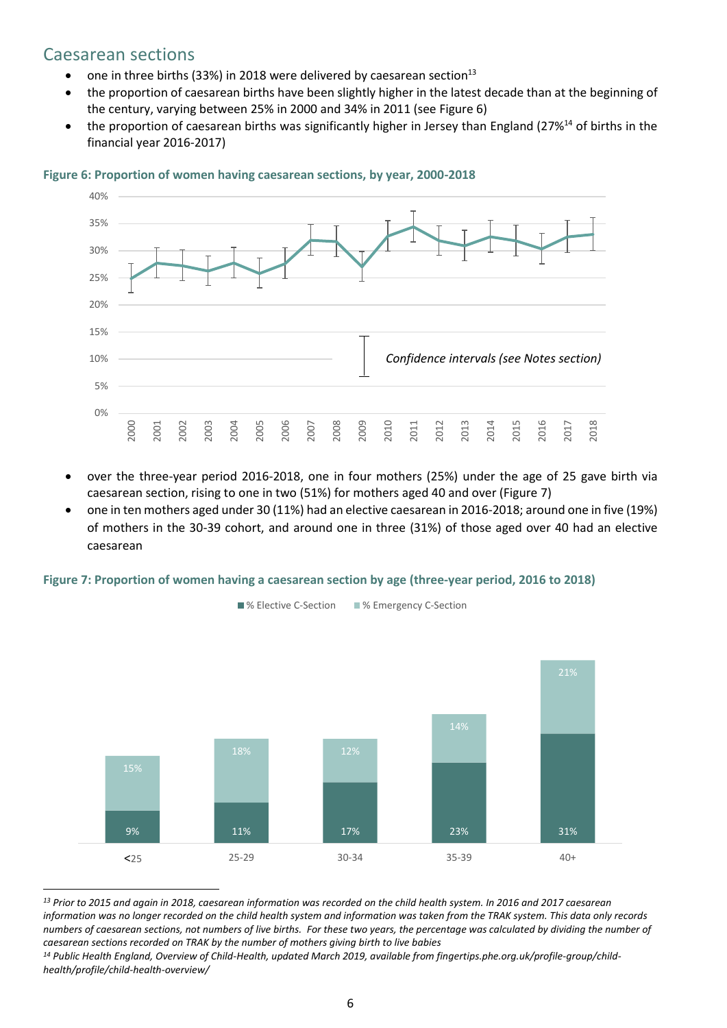### Caesarean sections

 $\overline{a}$ 

- one in three births (33%) in 2018 were delivered by caesarean section<sup>13</sup>
- the proportion of caesarean births have been slightly higher in the latest decade than at the beginning of the century, varying between 25% in 2000 and 34% in 2011 (see Figure 6)
- the proportion of caesarean births was significantly higher in Jersey than England (27%<sup>14</sup> of births in the financial year 2016-2017)



#### **Figure 6: Proportion of women having caesarean sections, by year, 2000-2018**

- over the three-year period 2016-2018, one in four mothers (25%) under the age of 25 gave birth via caesarean section, rising to one in two (51%) for mothers aged 40 and over (Figure 7)
- one in ten mothers aged under 30 (11%) had an elective caesarean in 2016-2018; around one in five (19%) of mothers in the 30-39 cohort, and around one in three (31%) of those aged over 40 had an elective caesarean

#### **Figure 7: Proportion of women having a caesarean section by age (three-year period, 2016 to 2018)**



*<sup>13</sup> Prior to 2015 and again in 2018, caesarean information was recorded on the child health system. In 2016 and 2017 caesarean information was no longer recorded on the child health system and information was taken from the TRAK system. This data only records numbers of caesarean sections, not numbers of live births. For these two years, the percentage was calculated by dividing the number of caesarean sections recorded on TRAK by the number of mothers giving birth to live babies* 

*<sup>14</sup> Public Health England, Overview of Child-Health, updated March 2019, available from fingertips.phe.org.uk/profile-group/childhealth/profile/child-health-overview/*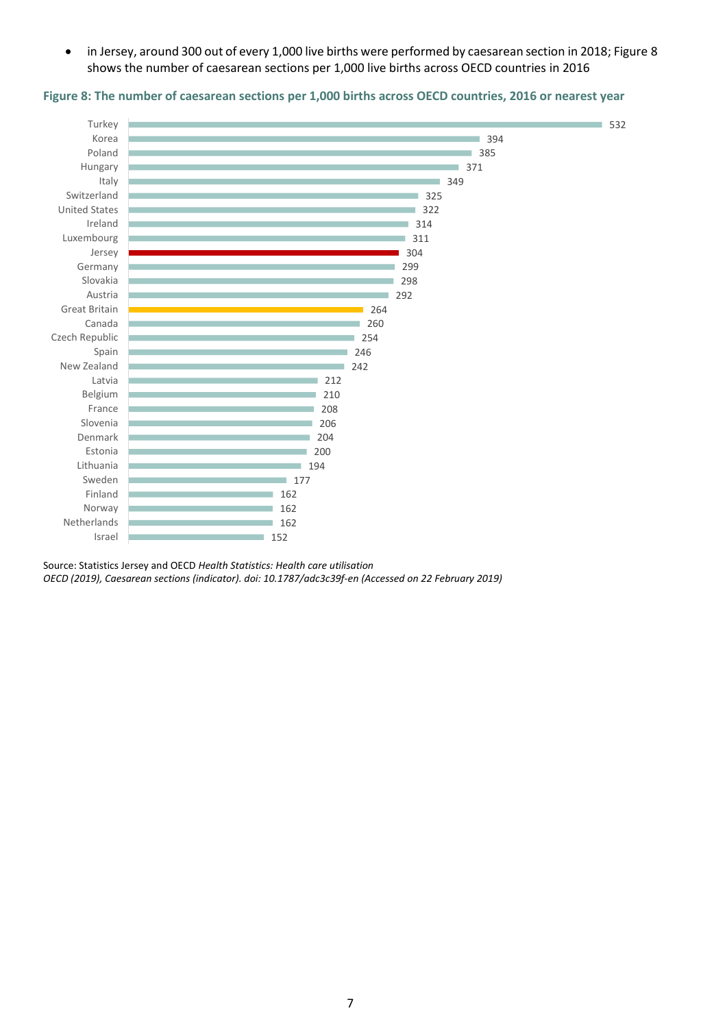in Jersey, around 300 out of every 1,000 live births were performed by caesarean section in 2018; Figure 8 shows the number of caesarean sections per 1,000 live births across OECD countries in 2016



#### **Figure 8: The number of caesarean sections per 1,000 births across OECD countries, 2016 or nearest year**

Source: Statistics Jersey and OECD *Health Statistics: Health care utilisation OECD (2019), Caesarean sections (indicator). doi: 10.1787/adc3c39f-en (Accessed on 22 February 2019)*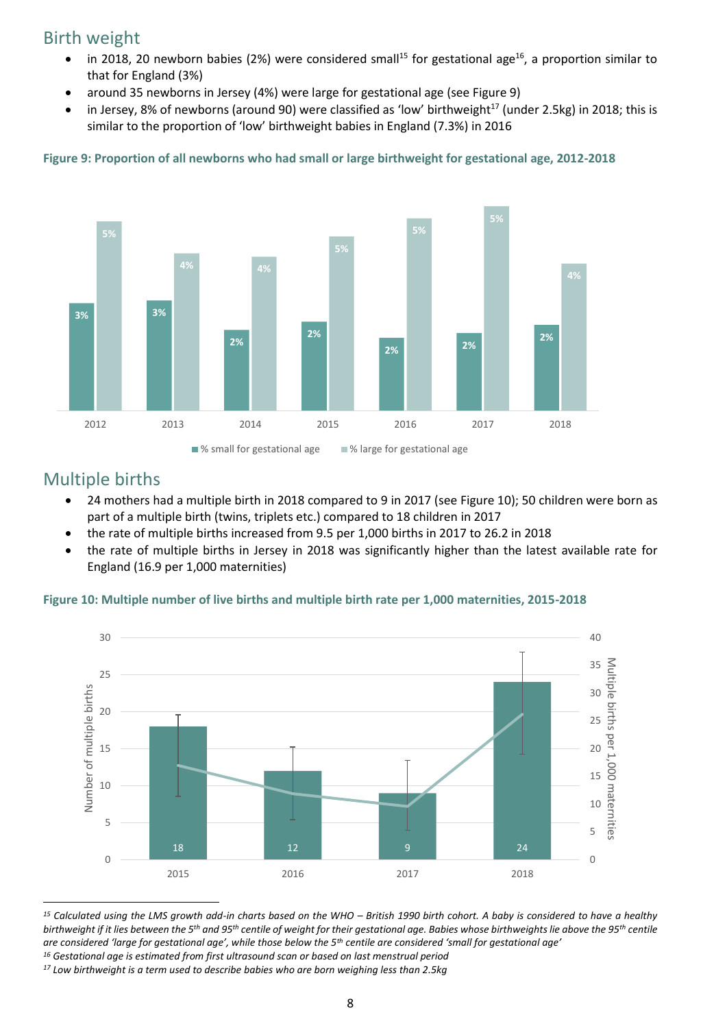### Birth weight

- in 2018, 20 newborn babies (2%) were considered small<sup>15</sup> for gestational age<sup>16</sup>, a proportion similar to that for England (3%)
- around 35 newborns in Jersey (4%) were large for gestational age (see Figure 9)
- in Jersey, 8% of newborns (around 90) were classified as 'low' birthweight<sup>17</sup> (under 2.5kg) in 2018; this is similar to the proportion of 'low' birthweight babies in England (7.3%) in 2016



#### **Figure 9: Proportion of all newborns who had small or large birthweight for gestational age, 2012-2018**

### Multiple births

l

- 24 mothers had a multiple birth in 2018 compared to 9 in 2017 (see Figure 10); 50 children were born as part of a multiple birth (twins, triplets etc.) compared to 18 children in 2017
- the rate of multiple births increased from 9.5 per 1,000 births in 2017 to 26.2 in 2018
- the rate of multiple births in Jersey in 2018 was significantly higher than the latest available rate for England (16.9 per 1,000 maternities)

#### **Figure 10: Multiple number of live births and multiple birth rate per 1,000 maternities, 2015-2018**



<sup>15</sup> Calculated using the LMS growth add-in charts based on the WHO – British 1990 birth cohort. A baby is considered to have a healthy *birthweight if it lies between the 5th and 95th centile of weight for their gestational age. Babies whose birthweights lie above the 95th centile are considered 'large for gestational age', while those below the 5th centile are considered 'small for gestational age' <sup>16</sup> Gestational age is estimated from first ultrasound scan or based on last menstrual period*

*<sup>17</sup> Low birthweight is a term used to describe babies who are born weighing less than 2.5kg*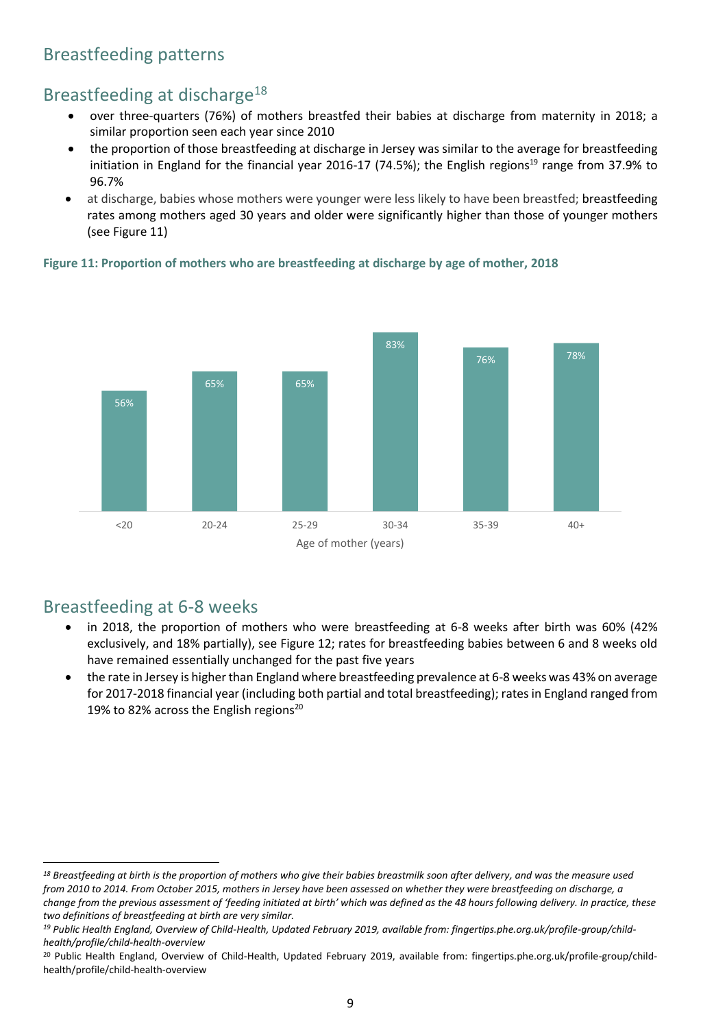# Breastfeeding patterns

# Breastfeeding at discharge<sup>18</sup>

- over three-quarters (76%) of mothers breastfed their babies at discharge from maternity in 2018; a similar proportion seen each year since 2010
- the proportion of those breastfeeding at discharge in Jersey was similar to the average for breastfeeding initiation in England for the financial year 2016-17 (74.5%); the English regions<sup>19</sup> range from 37.9% to 96.7%
- at discharge, babies whose mothers were younger were less likely to have been breastfed; breastfeeding rates among mothers aged 30 years and older were significantly higher than those of younger mothers (see Figure 11)





### Breastfeeding at 6-8 weeks

 $\overline{\phantom{a}}$ 

- in 2018, the proportion of mothers who were breastfeeding at 6-8 weeks after birth was 60% (42% exclusively, and 18% partially), see Figure 12; rates for breastfeeding babies between 6 and 8 weeks old have remained essentially unchanged for the past five years
- the rate in Jersey is higher than England where breastfeeding prevalence at 6-8 weeks was 43% on average for 2017-2018 financial year (including both partial and total breastfeeding); rates in England ranged from 19% to 82% across the English regions<sup>20</sup>

*<sup>18</sup> Breastfeeding at birth is the proportion of mothers who give their babies breastmilk soon after delivery, and was the measure used from 2010 to 2014. From October 2015, mothers in Jersey have been assessed on whether they were breastfeeding on discharge, a change from the previous assessment of 'feeding initiated at birth' which was defined as the 48 hours following delivery. In practice, these two definitions of breastfeeding at birth are very similar.* 

*<sup>19</sup> Public Health England, Overview of Child-Health, Updated February 2019, available from: fingertips.phe.org.uk/profile-group/childhealth/profile/child-health-overview*

<sup>&</sup>lt;sup>20</sup> Public Health England, Overview of Child-Health, Updated February 2019, available from: fingertips.phe.org.uk/profile-group/childhealth/profile/child-health-overview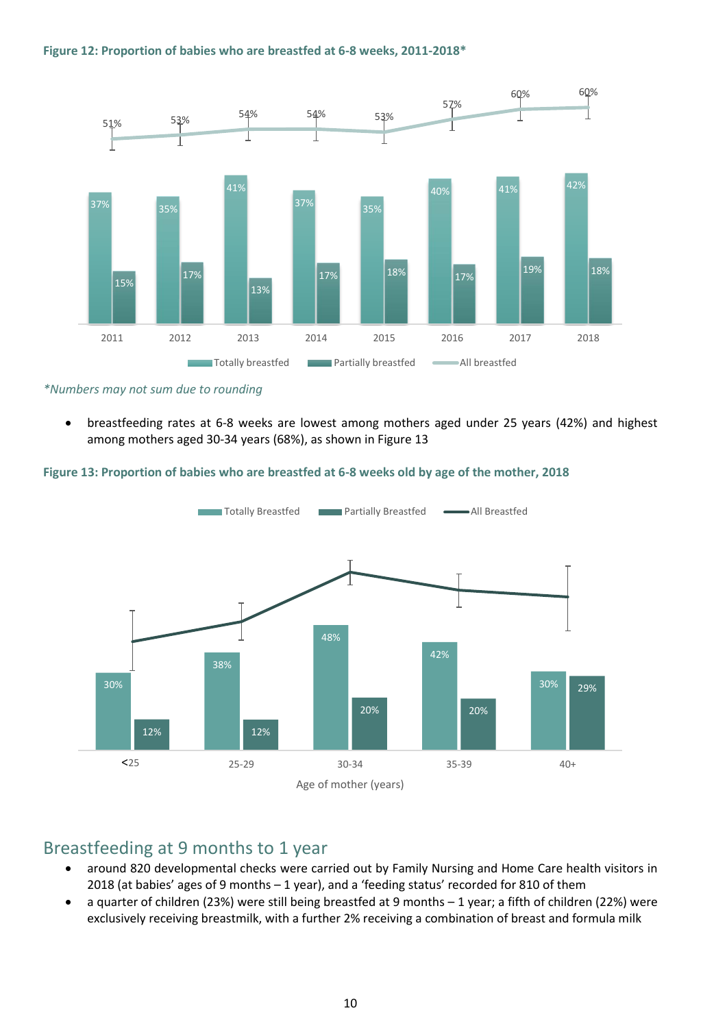#### **Figure 12: Proportion of babies who are breastfed at 6-8 weeks, 2011-2018\***



*\*Numbers may not sum due to rounding*

 breastfeeding rates at 6-8 weeks are lowest among mothers aged under 25 years (42%) and highest among mothers aged 30-34 years (68%), as shown in Figure 13

#### **Figure 13: Proportion of babies who are breastfed at 6-8 weeks old by age of the mother, 2018**



### Breastfeeding at 9 months to 1 year

- around 820 developmental checks were carried out by Family Nursing and Home Care health visitors in 2018 (at babies' ages of 9 months – 1 year), and a 'feeding status' recorded for 810 of them
- a quarter of children (23%) were still being breastfed at 9 months 1 year; a fifth of children (22%) were exclusively receiving breastmilk, with a further 2% receiving a combination of breast and formula milk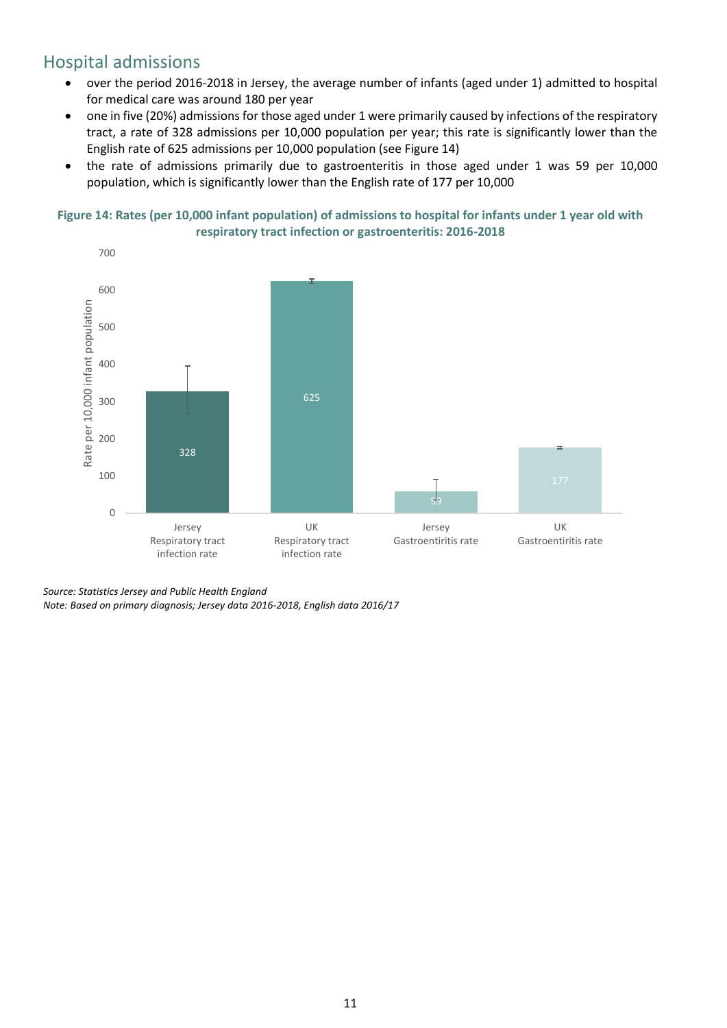# Hospital admissions

- over the period 2016-2018 in Jersey, the average number of infants (aged under 1) admitted to hospital for medical care was around 180 per year
- one in five (20%) admissions for those aged under 1 were primarily caused by infections of the respiratory tract, a rate of 328 admissions per 10,000 population per year; this rate is significantly lower than the English rate of 625 admissions per 10,000 population (see Figure 14)
- the rate of admissions primarily due to gastroenteritis in those aged under 1 was 59 per 10,000 population, which is significantly lower than the English rate of 177 per 10,000





*Source: Statistics Jersey and Public Health England*

*Note: Based on primary diagnosis; Jersey data 2016-2018, English data 2016/17*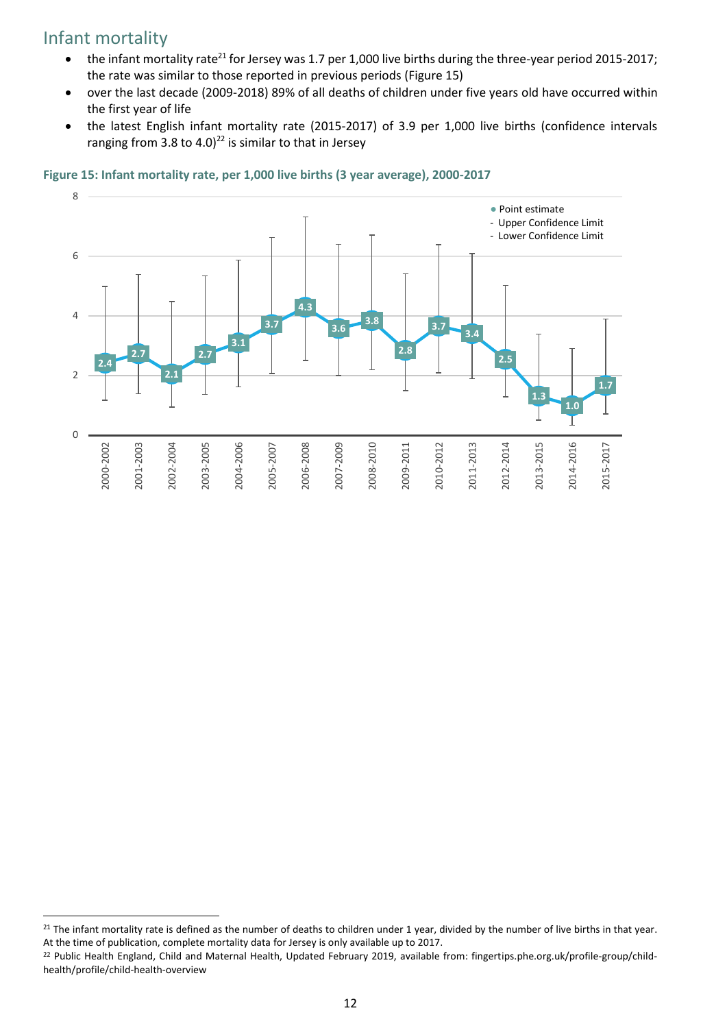# Infant mortality

 $\overline{\phantom{a}}$ 

- $\bullet$  the infant mortality rate<sup>21</sup> for Jersey was 1.7 per 1,000 live births during the three-year period 2015-2017; the rate was similar to those reported in previous periods (Figure 15)
- over the last decade (2009-2018) 89% of all deaths of children under five years old have occurred within the first year of life
- the latest English infant mortality rate (2015-2017) of 3.9 per 1,000 live births (confidence intervals ranging from 3.8 to 4.0)<sup>22</sup> is similar to that in Jersey



#### **Figure 15: Infant mortality rate, per 1,000 live births (3 year average), 2000-2017**

<sup>&</sup>lt;sup>21</sup> The infant mortality rate is defined as the number of deaths to children under 1 year, divided by the number of live births in that year. At the time of publication, complete mortality data for Jersey is only available up to 2017.

<sup>&</sup>lt;sup>22</sup> Public Health England, Child and Maternal Health, Updated February 2019, available from: fingertips.phe.org.uk/profile-group/childhealth/profile/child-health-overview